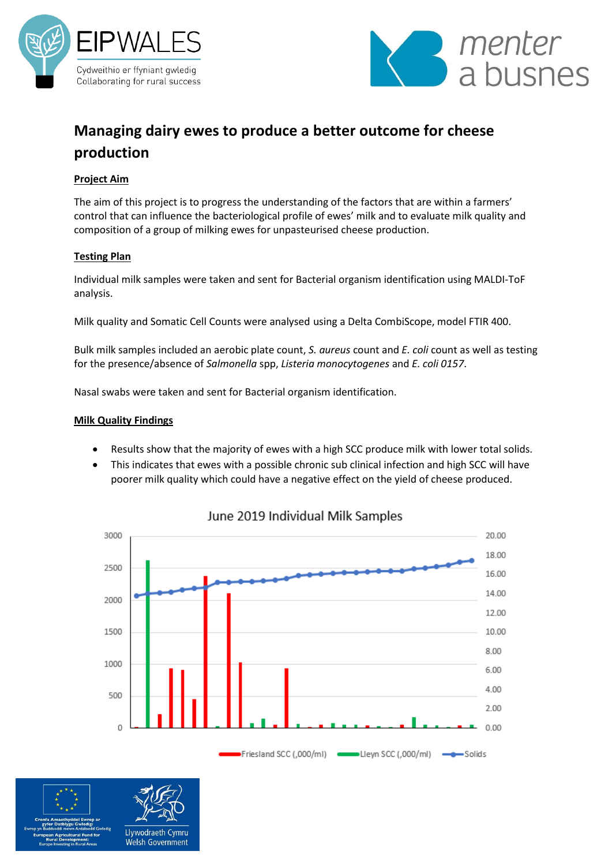



## **Managing dairy ewes to produce a better outcome for cheese production**

## **Project Aim**

The aim of this project is to progress the understanding of the factors that are within a farmers' control that can influence the bacteriological profile of ewes' milk and to evaluate milk quality and composition of a group of milking ewes for unpasteurised cheese production.

## **Testing Plan**

Individual milk samples were taken and sent for Bacterial organism identification using MALDI-ToF analysis.

Milk quality and Somatic Cell Counts were analysed using a Delta CombiScope, model FTIR 400.

Bulk milk samples included an aerobic plate count, *S. aureus* count and *E. coli* count as well as testing for the presence/absence of *Salmonella* spp, *Listeria monocytogenes* and *E. coli 0157*.

Nasal swabs were taken and sent for Bacterial organism identification.

## **Milk Quality Findings**

- Results show that the majority of ewes with a high SCC produce milk with lower total solids.
- This indicates that ewes with a possible chronic sub clinical infection and high SCC will have poorer milk quality which could have a negative effect on the yield of cheese produced.



June 2019 Individual Milk Samples